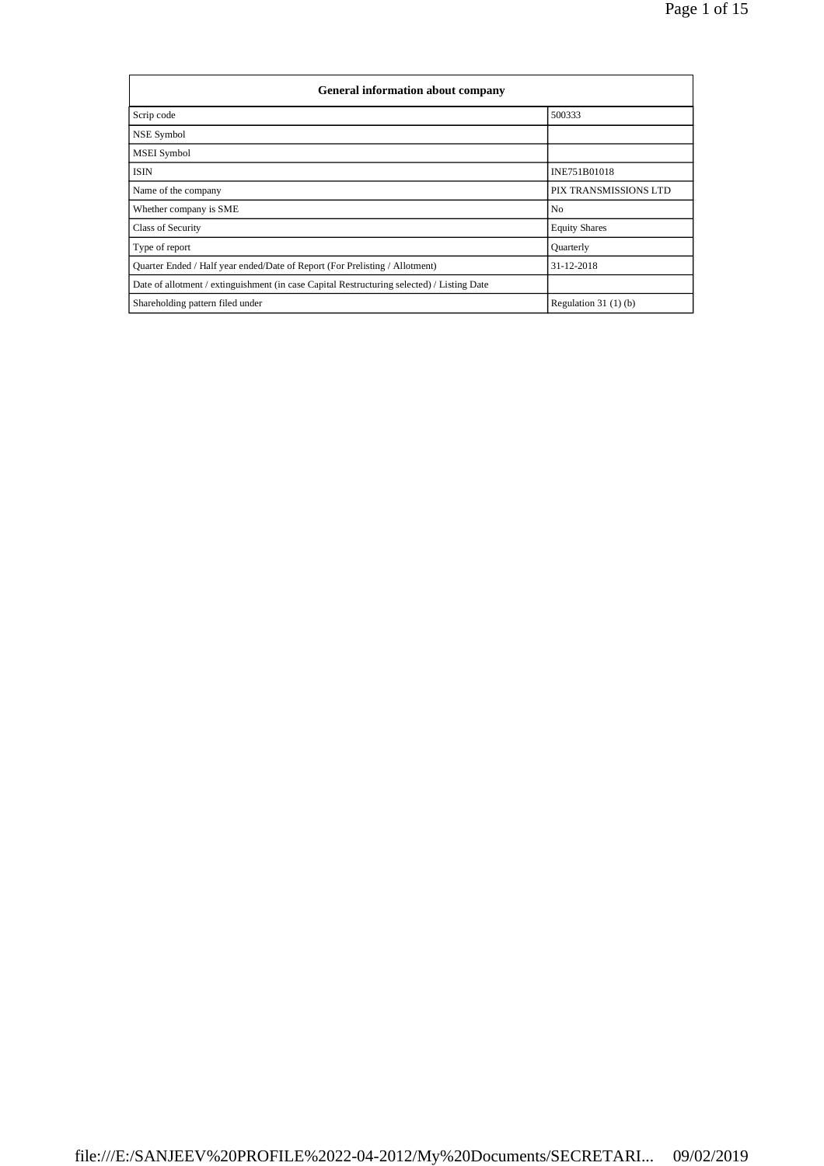| <b>General information about company</b>                                                   |                       |  |  |  |  |  |  |  |
|--------------------------------------------------------------------------------------------|-----------------------|--|--|--|--|--|--|--|
| Scrip code                                                                                 | 500333                |  |  |  |  |  |  |  |
| NSE Symbol                                                                                 |                       |  |  |  |  |  |  |  |
| <b>MSEI</b> Symbol                                                                         |                       |  |  |  |  |  |  |  |
| <b>ISIN</b>                                                                                | INE751B01018          |  |  |  |  |  |  |  |
| Name of the company                                                                        | PIX TRANSMISSIONS LTD |  |  |  |  |  |  |  |
| Whether company is SME                                                                     | N <sub>0</sub>        |  |  |  |  |  |  |  |
| Class of Security                                                                          | <b>Equity Shares</b>  |  |  |  |  |  |  |  |
| Type of report                                                                             | Quarterly             |  |  |  |  |  |  |  |
| Quarter Ended / Half year ended/Date of Report (For Prelisting / Allotment)                | 31-12-2018            |  |  |  |  |  |  |  |
| Date of allotment / extinguishment (in case Capital Restructuring selected) / Listing Date |                       |  |  |  |  |  |  |  |
| Shareholding pattern filed under                                                           | Regulation $31(1)(b)$ |  |  |  |  |  |  |  |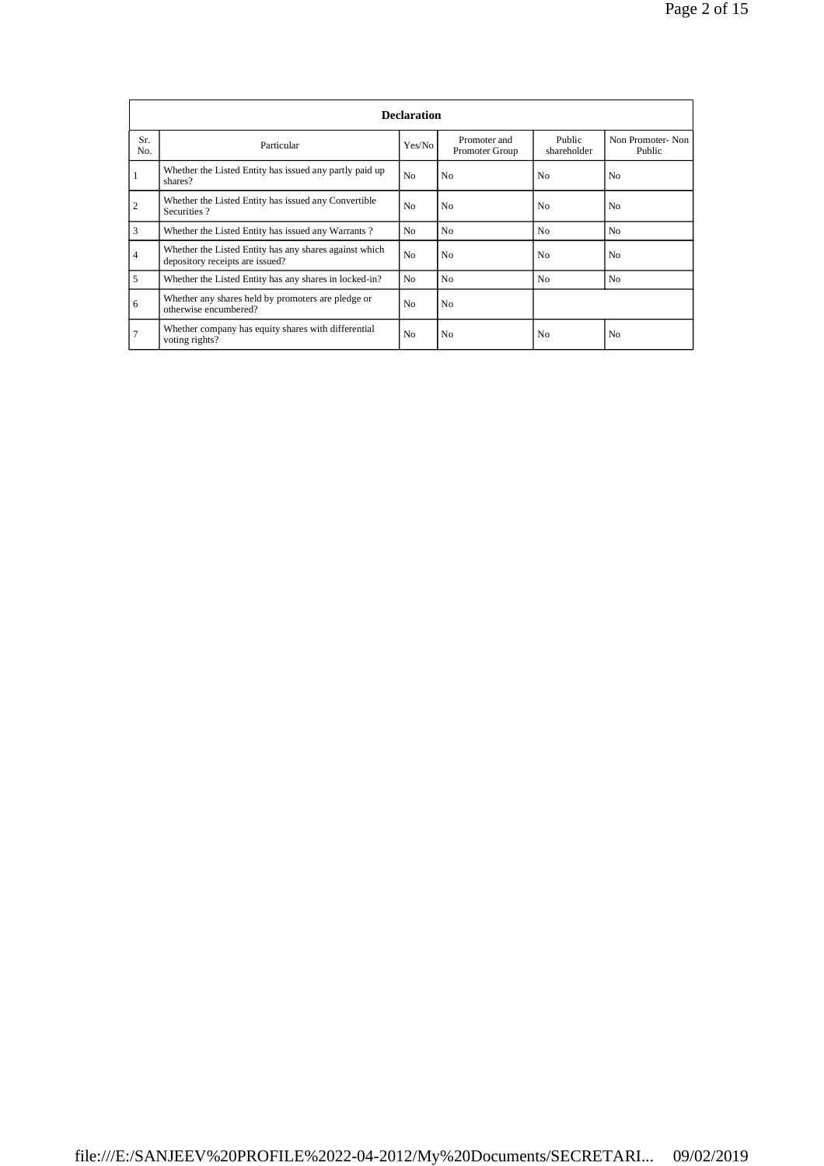|                | <b>Declaration</b>                                                                        |                |                                |                       |                            |  |  |  |  |  |  |  |  |
|----------------|-------------------------------------------------------------------------------------------|----------------|--------------------------------|-----------------------|----------------------------|--|--|--|--|--|--|--|--|
| Sr.<br>No.     | Particular                                                                                | Yes/No         | Promoter and<br>Promoter Group | Public<br>shareholder | Non Promoter-Non<br>Public |  |  |  |  |  |  |  |  |
| $\mathbf{1}$   | Whether the Listed Entity has issued any partly paid up<br>shares?                        | N <sub>0</sub> | N <sub>0</sub>                 | N <sub>0</sub>        | N <sub>0</sub>             |  |  |  |  |  |  |  |  |
| $\overline{2}$ | Whether the Listed Entity has issued any Convertible<br>Securities?                       | N <sub>0</sub> | N <sub>0</sub>                 | N <sub>0</sub>        | N <sub>0</sub>             |  |  |  |  |  |  |  |  |
| 3              | Whether the Listed Entity has issued any Warrants?                                        | N <sub>0</sub> | N <sub>0</sub>                 | N <sub>0</sub>        | N <sub>0</sub>             |  |  |  |  |  |  |  |  |
| $\overline{4}$ | Whether the Listed Entity has any shares against which<br>depository receipts are issued? | N <sub>0</sub> | N <sub>0</sub>                 | N <sub>0</sub>        | N <sub>0</sub>             |  |  |  |  |  |  |  |  |
| 5              | Whether the Listed Entity has any shares in locked-in?                                    | N <sub>0</sub> | N <sub>0</sub>                 | No.                   | No                         |  |  |  |  |  |  |  |  |
| 6              | Whether any shares held by promoters are pledge or<br>otherwise encumbered?               | N <sub>0</sub> | N <sub>0</sub>                 |                       |                            |  |  |  |  |  |  |  |  |
| $\overline{7}$ | Whether company has equity shares with differential<br>voting rights?                     | N <sub>0</sub> | N <sub>0</sub>                 | No                    | N <sub>0</sub>             |  |  |  |  |  |  |  |  |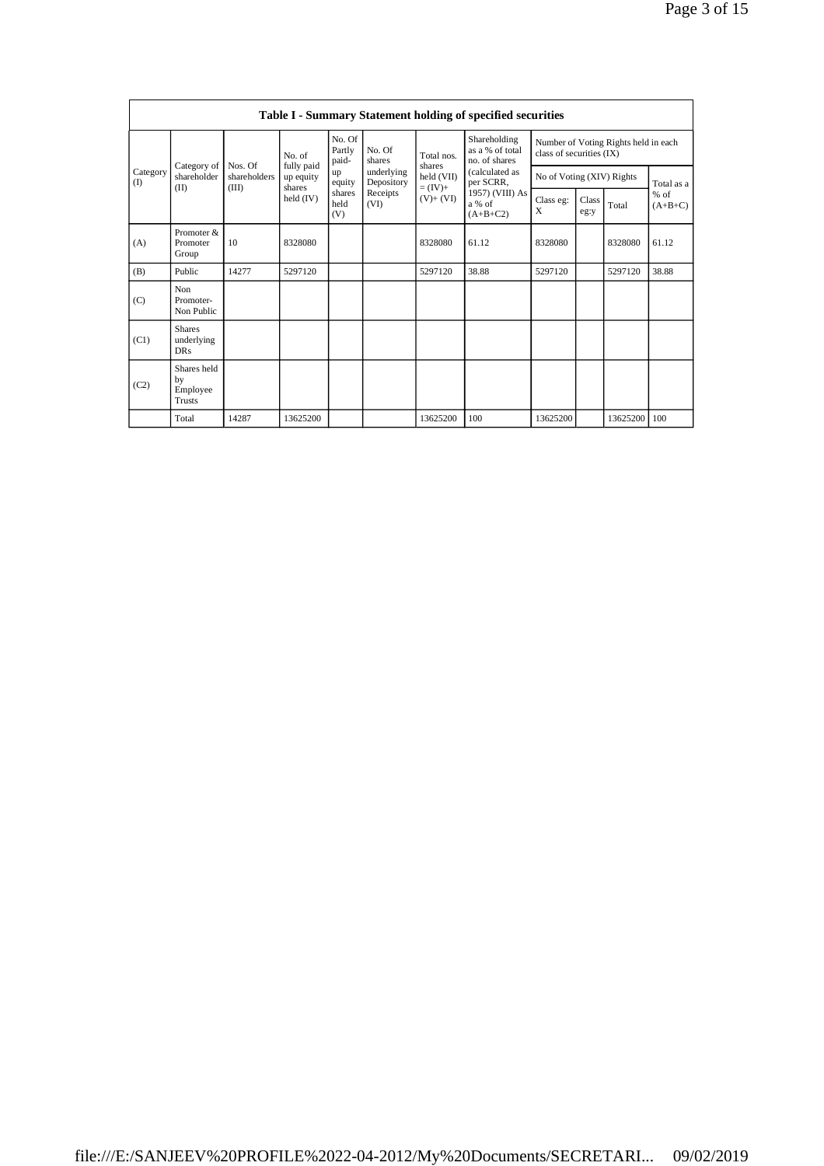|                                  |                                                |                         |                         |                           |                          |                                    | Table I - Summary Statement holding of specified securities                     |                                                                  |               |          |                     |
|----------------------------------|------------------------------------------------|-------------------------|-------------------------|---------------------------|--------------------------|------------------------------------|---------------------------------------------------------------------------------|------------------------------------------------------------------|---------------|----------|---------------------|
|                                  |                                                |                         | No. of                  | No. Of<br>Partly<br>paid- | No. Of<br>shares         | Total nos.<br>shares<br>held (VII) | Shareholding<br>as a % of total<br>no. of shares<br>(calculated as<br>per SCRR, | Number of Voting Rights held in each<br>class of securities (IX) |               |          |                     |
| Category<br>$($ $\Gamma$<br>(II) | Category of<br>shareholder                     | Nos. Of<br>shareholders | fully paid<br>up equity | up<br>equity              | underlying<br>Depository |                                    |                                                                                 | No of Voting (XIV) Rights                                        |               |          | Total as a          |
|                                  |                                                | (III)                   | shares<br>held $(IV)$   | shares<br>held<br>(V)     | Receipts<br>(VI)         | $= (IV) +$<br>$(V)$ + $(VI)$       | 1957) (VIII) As<br>a % of<br>$(A+B+C2)$                                         | Class eg:<br>X                                                   | Class<br>eg:y | Total    | $%$ of<br>$(A+B+C)$ |
| (A)                              | Promoter &<br>Promoter<br>Group                | 10                      | 8328080                 |                           |                          | 8328080                            | 61.12                                                                           | 8328080                                                          |               | 8328080  | 61.12               |
| (B)                              | Public                                         | 14277                   | 5297120                 |                           |                          | 5297120                            | 38.88                                                                           | 5297120                                                          |               | 5297120  | 38.88               |
| (C)                              | Non<br>Promoter-<br>Non Public                 |                         |                         |                           |                          |                                    |                                                                                 |                                                                  |               |          |                     |
| (C1)                             | <b>Shares</b><br>underlying<br><b>DRs</b>      |                         |                         |                           |                          |                                    |                                                                                 |                                                                  |               |          |                     |
| (C2)                             | Shares held<br>by<br>Employee<br><b>Trusts</b> |                         |                         |                           |                          |                                    |                                                                                 |                                                                  |               |          |                     |
|                                  | Total                                          | 14287                   | 13625200                |                           |                          | 13625200                           | 100                                                                             | 13625200                                                         |               | 13625200 | 100                 |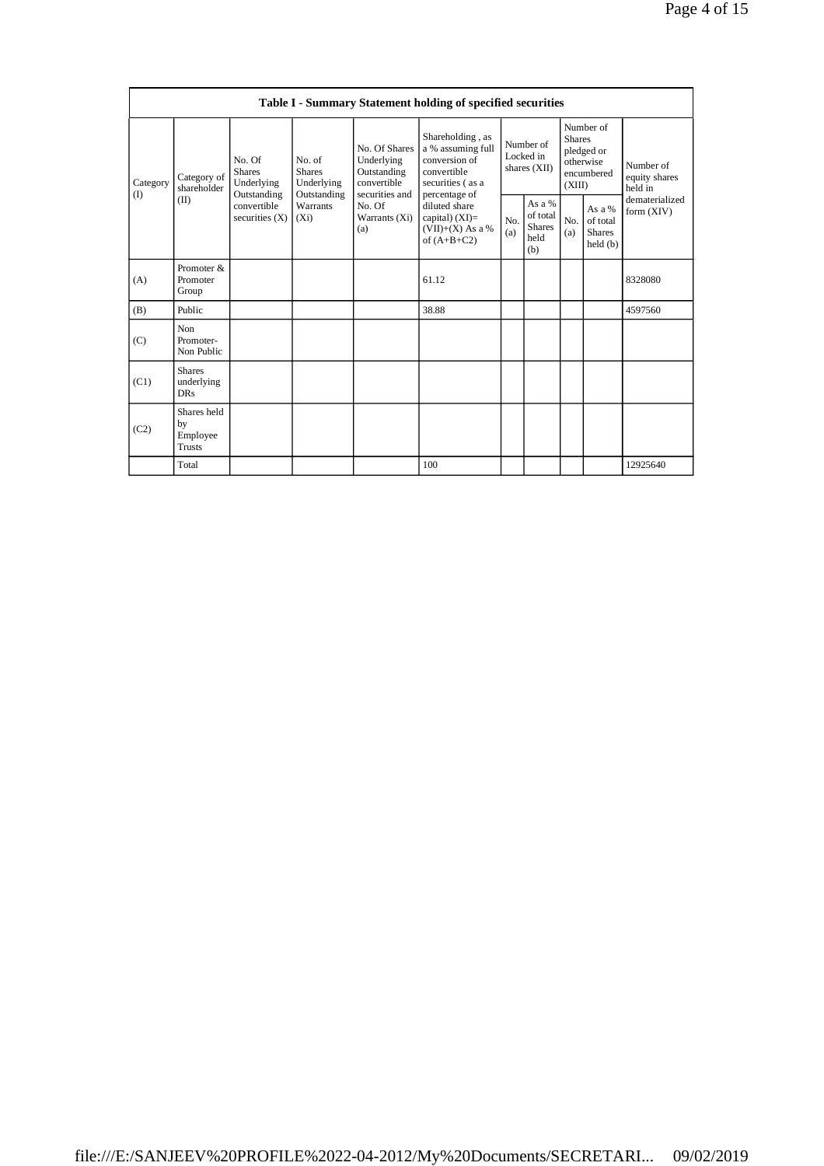|                 | <b>Table I - Summary Statement holding of specified securities</b> |                                                      |                                                                             |                                                                             |                                                                                                            |                                          |                                                      |                                                                               |                                                |                                       |  |  |  |
|-----------------|--------------------------------------------------------------------|------------------------------------------------------|-----------------------------------------------------------------------------|-----------------------------------------------------------------------------|------------------------------------------------------------------------------------------------------------|------------------------------------------|------------------------------------------------------|-------------------------------------------------------------------------------|------------------------------------------------|---------------------------------------|--|--|--|
| Category<br>(1) | Category of<br>shareholder<br>(II)                                 | No. Of<br><b>Shares</b><br>Underlying<br>Outstanding | No. of<br><b>Shares</b><br>Underlying<br>Outstanding<br>Warrants<br>$(X_i)$ | No. Of Shares<br>Underlying<br>Outstanding<br>convertible<br>securities and | Shareholding, as<br>a % assuming full<br>conversion of<br>convertible<br>securities (as a<br>percentage of | Number of<br>Locked in<br>shares $(XII)$ |                                                      | Number of<br><b>Shares</b><br>pledged or<br>otherwise<br>encumbered<br>(XIII) |                                                | Number of<br>equity shares<br>held in |  |  |  |
|                 |                                                                    | convertible<br>securities $(X)$                      |                                                                             | No. Of<br>Warrants (Xi)<br>(a)                                              | diluted share<br>capital) $(XI)=$<br>$(VII)+(X)$ As a %<br>of $(A+B+C2)$                                   | No.<br>(a)                               | As $a\%$<br>of total<br><b>Shares</b><br>held<br>(b) | No.<br>(a)                                                                    | As a %<br>of total<br><b>Shares</b><br>held(b) | dematerialized<br>form (XIV)          |  |  |  |
| (A)             | Promoter &<br>Promoter<br>Group                                    |                                                      |                                                                             |                                                                             | 61.12                                                                                                      |                                          |                                                      |                                                                               |                                                | 8328080                               |  |  |  |
| (B)             | Public                                                             |                                                      |                                                                             |                                                                             | 38.88                                                                                                      |                                          |                                                      |                                                                               |                                                | 4597560                               |  |  |  |
| (C)             | Non<br>Promoter-<br>Non Public                                     |                                                      |                                                                             |                                                                             |                                                                                                            |                                          |                                                      |                                                                               |                                                |                                       |  |  |  |
| (C1)            | <b>Shares</b><br>underlying<br><b>DRs</b>                          |                                                      |                                                                             |                                                                             |                                                                                                            |                                          |                                                      |                                                                               |                                                |                                       |  |  |  |
| (C2)            | Shares held<br>by<br>Employee<br><b>Trusts</b>                     |                                                      |                                                                             |                                                                             |                                                                                                            |                                          |                                                      |                                                                               |                                                |                                       |  |  |  |
|                 | Total                                                              |                                                      |                                                                             |                                                                             | 100                                                                                                        |                                          |                                                      |                                                                               |                                                | 12925640                              |  |  |  |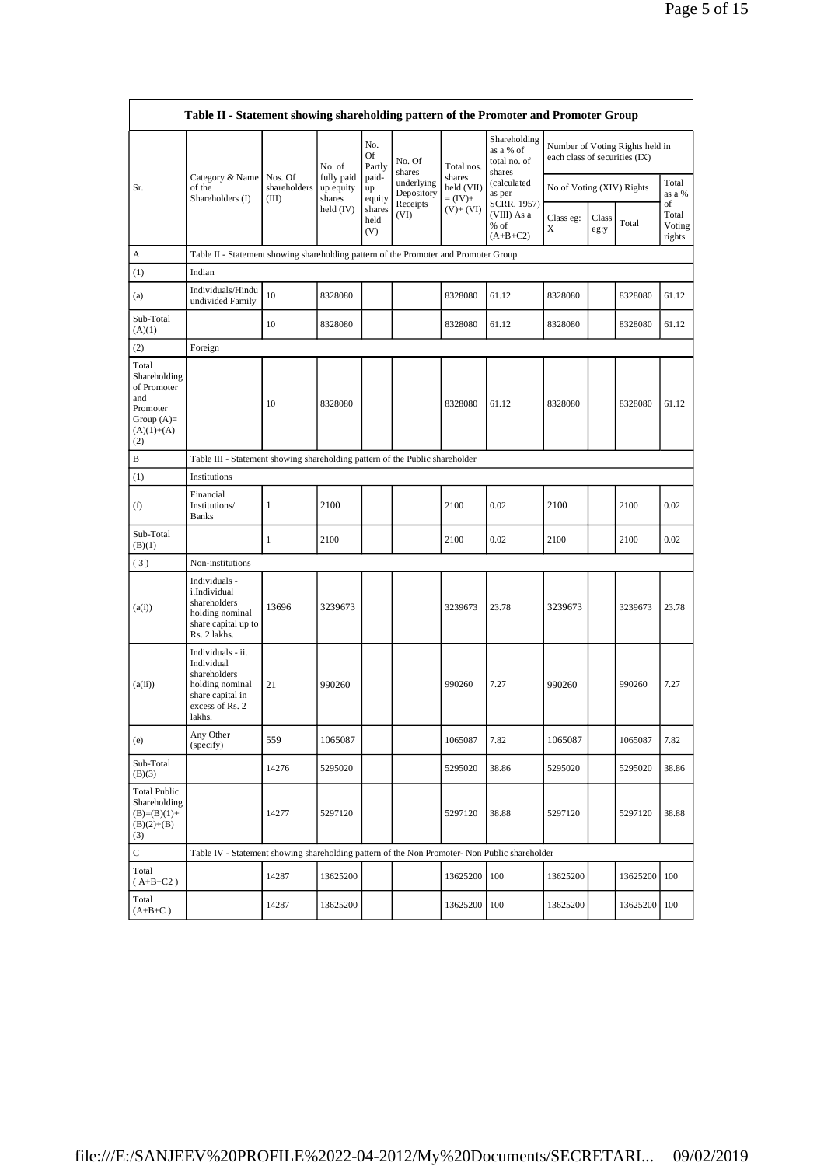|                                                                                                | Table II - Statement showing shareholding pattern of the Promoter and Promoter Group                                |                                  |                                   |                       |                          |                                  |                                                     |                               |               |                                 |                                 |  |  |
|------------------------------------------------------------------------------------------------|---------------------------------------------------------------------------------------------------------------------|----------------------------------|-----------------------------------|-----------------------|--------------------------|----------------------------------|-----------------------------------------------------|-------------------------------|---------------|---------------------------------|---------------------------------|--|--|
|                                                                                                |                                                                                                                     |                                  | No. of                            | No.<br>Of<br>Partly   | No. Of<br>shares         | Total nos.                       | Shareholding<br>as a % of<br>total no. of<br>shares | each class of securities (IX) |               | Number of Voting Rights held in |                                 |  |  |
| Sr.                                                                                            | Category & Name<br>of the<br>Shareholders (I)                                                                       | Nos. Of<br>shareholders<br>(III) | fully paid<br>up equity<br>shares | paid-<br>up<br>equity | underlying<br>Depository | shares<br>held (VII)<br>$=(IV)+$ | (calculated<br>as per                               | No of Voting (XIV) Rights     |               |                                 | Total<br>as a %                 |  |  |
|                                                                                                |                                                                                                                     |                                  | held $(IV)$                       | shares<br>held<br>(V) | Receipts<br>(VI)         | $(V)$ + $(VI)$                   | SCRR, 1957)<br>(VIII) As a<br>% of<br>$(A+B+C2)$    | Class eg:<br>X                | Class<br>eg:y | Total                           | of<br>Total<br>Voting<br>rights |  |  |
| А                                                                                              | Table II - Statement showing shareholding pattern of the Promoter and Promoter Group                                |                                  |                                   |                       |                          |                                  |                                                     |                               |               |                                 |                                 |  |  |
| (1)                                                                                            | Indian                                                                                                              |                                  |                                   |                       |                          |                                  |                                                     |                               |               |                                 |                                 |  |  |
| (a)                                                                                            | Individuals/Hindu<br>undivided Family                                                                               | 10                               | 8328080                           |                       |                          | 8328080                          | 61.12                                               | 8328080                       |               | 8328080                         | 61.12                           |  |  |
| Sub-Total<br>(A)(1)                                                                            |                                                                                                                     | 10                               | 8328080                           |                       |                          | 8328080                          | 61.12                                               | 8328080                       |               | 8328080                         | 61.12                           |  |  |
| (2)                                                                                            | Foreign                                                                                                             |                                  |                                   |                       |                          |                                  |                                                     |                               |               |                                 |                                 |  |  |
| Total<br>Shareholding<br>of Promoter<br>and<br>Promoter<br>Group $(A)=$<br>$(A)(1)+(A)$<br>(2) |                                                                                                                     | 10                               | 8328080                           |                       |                          | 8328080                          | 61.12                                               | 8328080                       |               | 8328080                         | 61.12                           |  |  |
| В                                                                                              | Table III - Statement showing shareholding pattern of the Public shareholder                                        |                                  |                                   |                       |                          |                                  |                                                     |                               |               |                                 |                                 |  |  |
| (1)                                                                                            | Institutions                                                                                                        |                                  |                                   |                       |                          |                                  |                                                     |                               |               |                                 |                                 |  |  |
| (f)                                                                                            | Financial<br>Institutions/<br><b>Banks</b>                                                                          | $\mathbf{1}$                     | 2100                              |                       |                          | 2100                             | 0.02                                                | 2100                          |               | 2100                            | 0.02                            |  |  |
| Sub-Total<br>(B)(1)                                                                            |                                                                                                                     | 1                                | 2100                              |                       |                          | 2100                             | 0.02                                                | 2100                          |               | 2100                            | 0.02                            |  |  |
| (3)                                                                                            | Non-institutions                                                                                                    |                                  |                                   |                       |                          |                                  |                                                     |                               |               |                                 |                                 |  |  |
| (a(i))                                                                                         | Individuals -<br>i.Individual<br>shareholders<br>holding nominal<br>share capital up to<br>Rs. 2 lakhs.             | 13696                            | 3239673                           |                       |                          | 3239673                          | 23.78                                               | 3239673                       |               | 3239673                         | 23.78                           |  |  |
| (a(ii))                                                                                        | Individuals - ii.<br>Individual<br>shareholders<br>holding nominal<br>share capital in<br>excess of Rs. 2<br>lakhs. | 21                               | 990260                            |                       |                          | 990260                           | 7.27                                                | 990260                        |               | 990260                          | 7.27                            |  |  |
| (e)                                                                                            | Any Other<br>(specify)                                                                                              | 559                              | 1065087                           |                       |                          | 1065087                          | 7.82                                                | 1065087                       |               | 1065087                         | 7.82                            |  |  |
| Sub-Total<br>(B)(3)                                                                            |                                                                                                                     | 14276                            | 5295020                           |                       |                          | 5295020                          | 38.86                                               | 5295020                       |               | 5295020                         | 38.86                           |  |  |
| <b>Total Public</b><br>Shareholding<br>$(B)=(B)(1)+$<br>$(B)(2)+(B)$<br>(3)                    |                                                                                                                     | 14277                            | 5297120                           |                       |                          | 5297120                          | 38.88                                               | 5297120                       |               | 5297120                         | 38.88                           |  |  |
| ${\bf C}$                                                                                      | Table IV - Statement showing shareholding pattern of the Non Promoter- Non Public shareholder                       |                                  |                                   |                       |                          |                                  |                                                     |                               |               |                                 |                                 |  |  |
| Total<br>$(A+B+C2)$                                                                            |                                                                                                                     | 14287                            | 13625200                          |                       |                          | 13625200                         | 100                                                 | 13625200                      |               | 13625200                        | 100                             |  |  |
| Total<br>$(A+B+C)$                                                                             |                                                                                                                     | 14287                            | 13625200                          |                       |                          | 13625200                         | 100                                                 | 13625200                      |               | 13625200 100                    |                                 |  |  |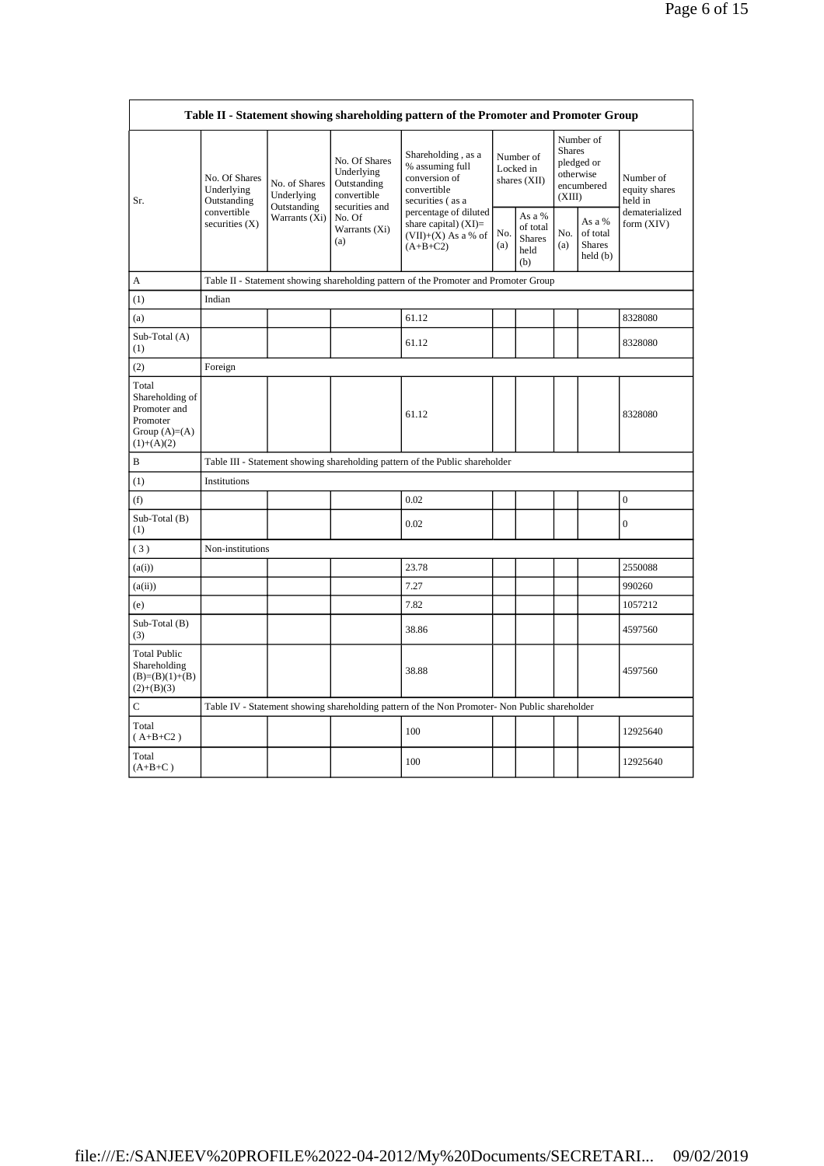|                                                                                                                                                                            | Table II - Statement showing shareholding pattern of the Promoter and Promoter Group |                                                                                         |                                                                             |                                                                                               |                                          |                                                |                                                                               |  |                                       |  |  |  |
|----------------------------------------------------------------------------------------------------------------------------------------------------------------------------|--------------------------------------------------------------------------------------|-----------------------------------------------------------------------------------------|-----------------------------------------------------------------------------|-----------------------------------------------------------------------------------------------|------------------------------------------|------------------------------------------------|-------------------------------------------------------------------------------|--|---------------------------------------|--|--|--|
| Sr.                                                                                                                                                                        | No. Of Shares<br>Underlying<br>Outstanding                                           | No. of Shares<br>Underlying<br>Outstanding                                              | No. Of Shares<br>Underlying<br>Outstanding<br>convertible<br>securities and | Shareholding, as a<br>% assuming full<br>conversion of<br>convertible<br>securities (as a     | Number of<br>Locked in<br>shares $(XII)$ |                                                | Number of<br><b>Shares</b><br>pledged or<br>otherwise<br>encumbered<br>(XIII) |  | Number of<br>equity shares<br>held in |  |  |  |
| convertible<br>Warrants (Xi)<br>No. Of<br>securities $(X)$<br>Warrants (Xi)<br>(a)<br>Table II - Statement showing shareholding pattern of the Promoter and Promoter Group |                                                                                      | percentage of diluted<br>share capital) $(XI)$ =<br>$(VII)+(X)$ As a % of<br>$(A+B+C2)$ | No.<br>(a)                                                                  | As a %<br>of total<br><b>Shares</b><br>held<br>(b)                                            | No.<br>(a)                               | As a %<br>of total<br><b>Shares</b><br>held(b) | dematerialized<br>form $(XIV)$                                                |  |                                       |  |  |  |
| А                                                                                                                                                                          |                                                                                      |                                                                                         |                                                                             |                                                                                               |                                          |                                                |                                                                               |  |                                       |  |  |  |
| (1)                                                                                                                                                                        | Indian                                                                               |                                                                                         |                                                                             |                                                                                               |                                          |                                                |                                                                               |  |                                       |  |  |  |
| (a)                                                                                                                                                                        |                                                                                      |                                                                                         |                                                                             | 61.12                                                                                         |                                          |                                                |                                                                               |  | 8328080                               |  |  |  |
| Sub-Total (A)<br>(1)                                                                                                                                                       |                                                                                      |                                                                                         |                                                                             | 61.12                                                                                         |                                          |                                                |                                                                               |  | 8328080                               |  |  |  |
| (2)                                                                                                                                                                        | Foreign                                                                              |                                                                                         |                                                                             |                                                                                               |                                          |                                                |                                                                               |  |                                       |  |  |  |
| Total<br>Shareholding of<br>Promoter and<br>Promoter<br>Group $(A)=(A)$<br>$(1)+(A)(2)$                                                                                    |                                                                                      |                                                                                         |                                                                             | 61.12                                                                                         |                                          |                                                |                                                                               |  | 8328080                               |  |  |  |
| B                                                                                                                                                                          |                                                                                      |                                                                                         |                                                                             | Table III - Statement showing shareholding pattern of the Public shareholder                  |                                          |                                                |                                                                               |  |                                       |  |  |  |
| (1)                                                                                                                                                                        | Institutions                                                                         |                                                                                         |                                                                             |                                                                                               |                                          |                                                |                                                                               |  |                                       |  |  |  |
| (f)                                                                                                                                                                        |                                                                                      |                                                                                         |                                                                             | 0.02                                                                                          |                                          |                                                |                                                                               |  | $\bf{0}$                              |  |  |  |
| Sub-Total (B)<br>(1)                                                                                                                                                       |                                                                                      |                                                                                         |                                                                             | 0.02                                                                                          |                                          |                                                |                                                                               |  | $\boldsymbol{0}$                      |  |  |  |
| (3)                                                                                                                                                                        | Non-institutions                                                                     |                                                                                         |                                                                             |                                                                                               |                                          |                                                |                                                                               |  |                                       |  |  |  |
| (a(i))                                                                                                                                                                     |                                                                                      |                                                                                         |                                                                             | 23.78                                                                                         |                                          |                                                |                                                                               |  | 2550088                               |  |  |  |
| (a(ii))                                                                                                                                                                    |                                                                                      |                                                                                         |                                                                             | 7.27                                                                                          |                                          |                                                |                                                                               |  | 990260                                |  |  |  |
| (e)                                                                                                                                                                        |                                                                                      |                                                                                         |                                                                             | 7.82                                                                                          |                                          |                                                |                                                                               |  | 1057212                               |  |  |  |
| Sub-Total (B)<br>(3)                                                                                                                                                       |                                                                                      |                                                                                         |                                                                             | 38.86                                                                                         |                                          |                                                |                                                                               |  | 4597560                               |  |  |  |
| <b>Total Public</b><br>Shareholding<br>$(B)=(B)(1)+(B)$<br>$(2)+(B)(3)$                                                                                                    |                                                                                      |                                                                                         |                                                                             | 38.88                                                                                         |                                          |                                                |                                                                               |  | 4597560                               |  |  |  |
| $\mathsf C$                                                                                                                                                                |                                                                                      |                                                                                         |                                                                             | Table IV - Statement showing shareholding pattern of the Non Promoter- Non Public shareholder |                                          |                                                |                                                                               |  |                                       |  |  |  |
| Total<br>$(A+B+C2)$                                                                                                                                                        |                                                                                      |                                                                                         |                                                                             | 100                                                                                           |                                          |                                                |                                                                               |  | 12925640                              |  |  |  |
| Total<br>$(A+B+C)$                                                                                                                                                         |                                                                                      |                                                                                         |                                                                             | 100                                                                                           |                                          |                                                |                                                                               |  | 12925640                              |  |  |  |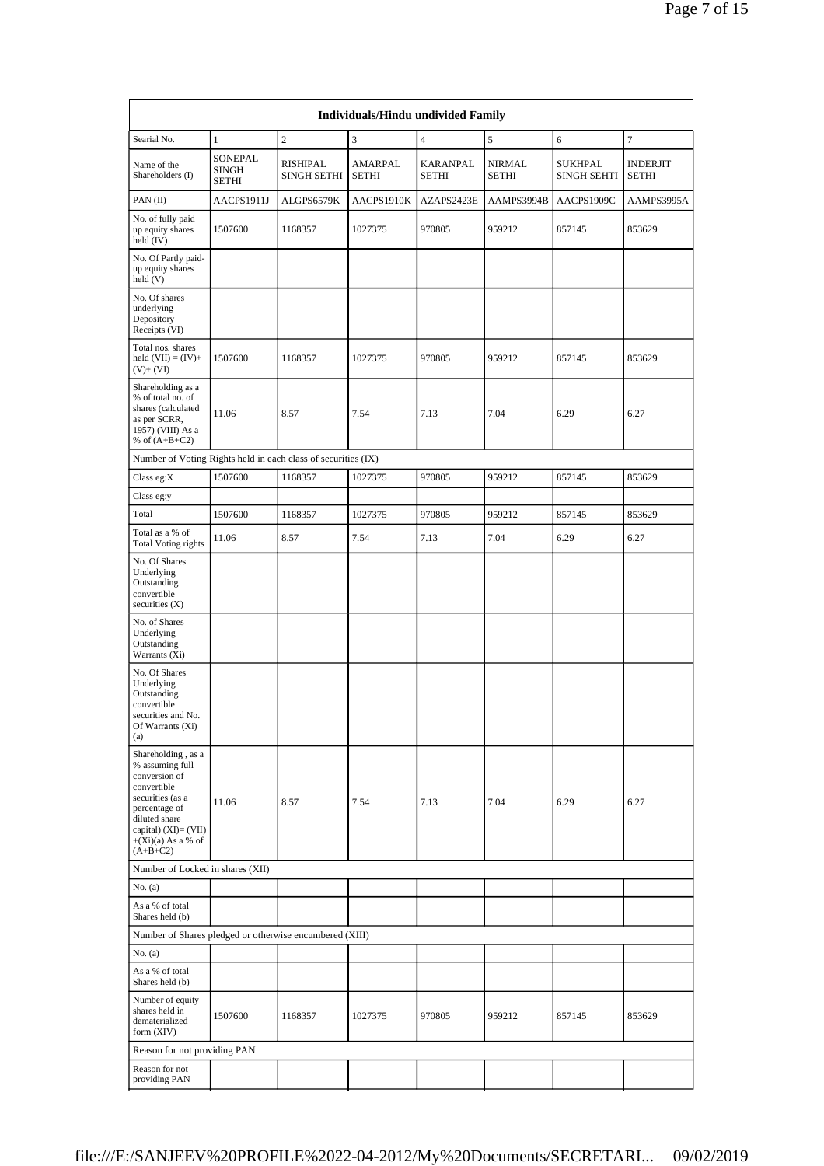|                                                                                                                                                                                              |                                  |                                       | Individuals/Hindu undivided Family |                                 |                               |                               |                                 |
|----------------------------------------------------------------------------------------------------------------------------------------------------------------------------------------------|----------------------------------|---------------------------------------|------------------------------------|---------------------------------|-------------------------------|-------------------------------|---------------------------------|
| Searial No.                                                                                                                                                                                  | $\mathbf{1}$                     | $\sqrt{2}$                            | 3                                  | $\overline{4}$                  | 5                             | 6                             | $\tau$                          |
| Name of the<br>Shareholders (I)                                                                                                                                                              | SONEPAL<br>SINGH<br><b>SETHI</b> | <b>RISHIPAL</b><br><b>SINGH SETHI</b> | AMARPAL<br><b>SETHI</b>            | <b>KARANPAL</b><br><b>SETHI</b> | <b>NIRMAL</b><br><b>SETHI</b> | SUKHPAL<br><b>SINGH SEHTI</b> | <b>INDERJIT</b><br><b>SETHI</b> |
| PAN(II)                                                                                                                                                                                      | AACPS1911J                       | ALGPS6579K                            | AACPS1910K                         | AZAPS2423E                      | AAMPS3994B                    | AACPS1909C                    | AAMPS3995A                      |
| No. of fully paid<br>up equity shares<br>held (IV)                                                                                                                                           | 1507600                          | 1168357                               | 1027375                            | 970805                          | 959212                        | 857145                        | 853629                          |
| No. Of Partly paid-<br>up equity shares<br>held (V)                                                                                                                                          |                                  |                                       |                                    |                                 |                               |                               |                                 |
| No. Of shares<br>underlying<br>Depository<br>Receipts (VI)                                                                                                                                   |                                  |                                       |                                    |                                 |                               |                               |                                 |
| Total nos. shares<br>held $(VII) = (IV) +$<br>$(V)+(VI)$                                                                                                                                     | 1507600                          | 1168357                               | 1027375                            | 970805                          | 959212                        | 857145                        | 853629                          |
| Shareholding as a<br>% of total no. of<br>shares (calculated<br>as per SCRR,<br>1957) (VIII) As a<br>% of $(A+B+C2)$                                                                         | 11.06                            | 8.57                                  | 7.54                               | 7.13                            | 7.04                          | 6.29                          | 6.27                            |
| Number of Voting Rights held in each class of securities (IX)                                                                                                                                |                                  |                                       |                                    |                                 |                               |                               |                                 |
| Class eg:X                                                                                                                                                                                   | 1507600                          | 1168357                               | 1027375                            | 970805                          | 959212                        | 857145                        | 853629                          |
| Class eg:y                                                                                                                                                                                   |                                  |                                       |                                    |                                 |                               |                               |                                 |
| Total                                                                                                                                                                                        | 1507600                          | 1168357                               | 1027375                            | 970805                          | 959212                        | 857145                        | 853629                          |
| Total as a % of<br><b>Total Voting rights</b>                                                                                                                                                | 11.06                            | 8.57                                  | 7.54                               | 7.13                            | 7.04                          | 6.29                          | 6.27                            |
| No. Of Shares<br>Underlying<br>Outstanding<br>convertible<br>securities $(X)$                                                                                                                |                                  |                                       |                                    |                                 |                               |                               |                                 |
| No. of Shares<br>Underlying<br>Outstanding<br>Warrants (Xi)                                                                                                                                  |                                  |                                       |                                    |                                 |                               |                               |                                 |
| No. Of Shares<br>Underlying<br>Outstanding<br>convertible<br>securities and No.<br>Of Warrants (Xi)<br>(a)                                                                                   |                                  |                                       |                                    |                                 |                               |                               |                                 |
| Shareholding, as a<br>% assuming full<br>conversion of<br>convertible<br>securities (as a<br>percentage of<br>diluted share<br>capital) $(XI) = (VII)$<br>$+(Xi)(a)$ As a % of<br>$(A+B+C2)$ | 11.06                            | 8.57                                  | 7.54                               | 7.13                            | 7.04                          | 6.29                          | 6.27                            |
| Number of Locked in shares (XII)                                                                                                                                                             |                                  |                                       |                                    |                                 |                               |                               |                                 |
| No. (a)                                                                                                                                                                                      |                                  |                                       |                                    |                                 |                               |                               |                                 |
| As a % of total<br>Shares held (b)                                                                                                                                                           |                                  |                                       |                                    |                                 |                               |                               |                                 |
| Number of Shares pledged or otherwise encumbered (XIII)                                                                                                                                      |                                  |                                       |                                    |                                 |                               |                               |                                 |
| No. (a)<br>As a % of total                                                                                                                                                                   |                                  |                                       |                                    |                                 |                               |                               |                                 |
| Shares held (b)                                                                                                                                                                              |                                  |                                       |                                    |                                 |                               |                               |                                 |
| Number of equity<br>shares held in<br>dematerialized<br>form $(XIV)$                                                                                                                         | 1507600                          | 1168357                               | 1027375                            | 970805                          | 959212                        | 857145                        | 853629                          |
| Reason for not providing PAN                                                                                                                                                                 |                                  |                                       |                                    |                                 |                               |                               |                                 |
| Reason for not<br>providing PAN                                                                                                                                                              |                                  |                                       |                                    |                                 |                               |                               |                                 |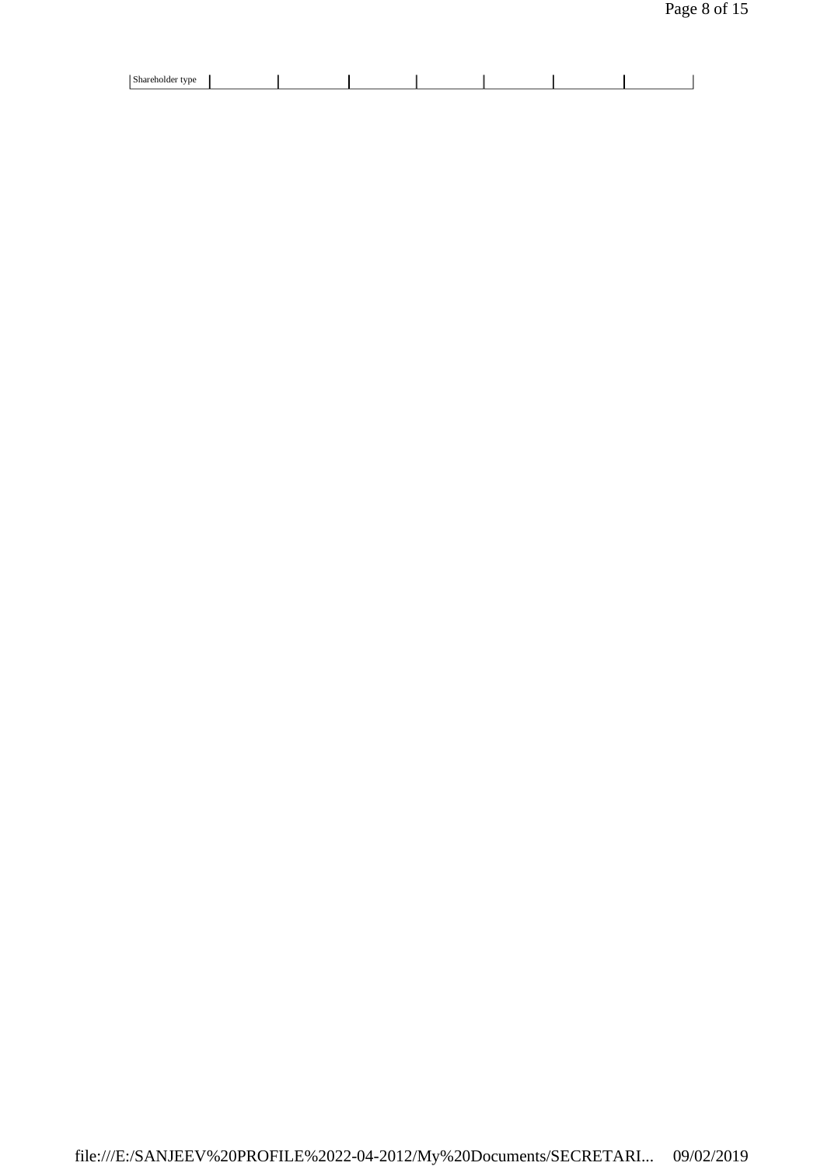| ' Shareholder type |  |  |  |  |
|--------------------|--|--|--|--|
| . .                |  |  |  |  |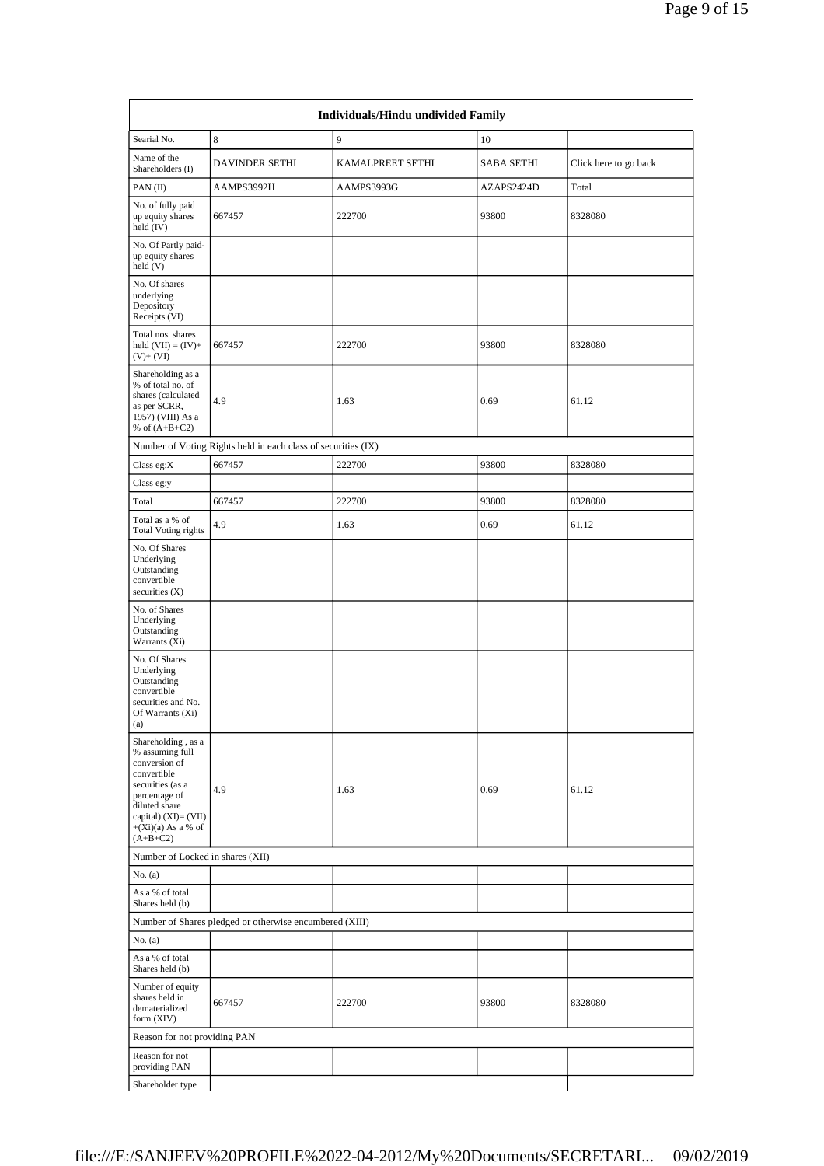| Individuals/Hindu undivided Family                                                                                                                                                        |                                                               |                  |                   |                       |  |  |  |  |  |  |  |
|-------------------------------------------------------------------------------------------------------------------------------------------------------------------------------------------|---------------------------------------------------------------|------------------|-------------------|-----------------------|--|--|--|--|--|--|--|
| Searial No.                                                                                                                                                                               | 8                                                             | 9                | 10                |                       |  |  |  |  |  |  |  |
| Name of the<br>Shareholders (I)                                                                                                                                                           | <b>DAVINDER SETHI</b>                                         | KAMALPREET SETHI | <b>SABA SETHI</b> | Click here to go back |  |  |  |  |  |  |  |
| $PAN$ (II)                                                                                                                                                                                | AAMPS3992H                                                    | AAMPS3993G       | AZAPS2424D        | Total                 |  |  |  |  |  |  |  |
| No. of fully paid<br>up equity shares<br>held (IV)                                                                                                                                        | 667457                                                        | 222700           | 93800             | 8328080               |  |  |  |  |  |  |  |
| No. Of Partly paid-<br>up equity shares<br>held (V)                                                                                                                                       |                                                               |                  |                   |                       |  |  |  |  |  |  |  |
| No. Of shares<br>underlying<br>Depository<br>Receipts (VI)                                                                                                                                |                                                               |                  |                   |                       |  |  |  |  |  |  |  |
| Total nos. shares<br>held $(VII) = (IV) +$<br>$(V) + (VI)$                                                                                                                                | 667457                                                        | 222700           | 93800             | 8328080               |  |  |  |  |  |  |  |
| Shareholding as a<br>% of total no. of<br>shares (calculated<br>as per SCRR,<br>1957) (VIII) As a<br>% of $(A+B+C2)$                                                                      | 4.9                                                           | 1.63             | 0.69              | 61.12                 |  |  |  |  |  |  |  |
|                                                                                                                                                                                           | Number of Voting Rights held in each class of securities (IX) |                  |                   |                       |  |  |  |  |  |  |  |
| Class eg:X                                                                                                                                                                                | 667457                                                        | 222700           | 93800             | 8328080               |  |  |  |  |  |  |  |
| Class eg:y                                                                                                                                                                                |                                                               |                  |                   |                       |  |  |  |  |  |  |  |
| Total                                                                                                                                                                                     | 667457                                                        | 222700           | 93800             | 8328080               |  |  |  |  |  |  |  |
| Total as a % of<br><b>Total Voting rights</b>                                                                                                                                             | 4.9                                                           | 1.63             | 0.69              | 61.12                 |  |  |  |  |  |  |  |
| No. Of Shares<br>Underlying<br>Outstanding<br>convertible<br>securities $(X)$                                                                                                             |                                                               |                  |                   |                       |  |  |  |  |  |  |  |
| No. of Shares<br>Underlying<br>Outstanding<br>Warrants (Xi)                                                                                                                               |                                                               |                  |                   |                       |  |  |  |  |  |  |  |
| No. Of Shares<br>Underlying<br>Outstanding<br>convertible<br>securities and No.<br>Of Warrants (Xi)<br>(a)                                                                                |                                                               |                  |                   |                       |  |  |  |  |  |  |  |
| Shareholding, as a<br>% assuming full<br>conversion of<br>convertible<br>securities (as a<br>percentage of<br>diluted share<br>capital) (XI)= (VII)<br>$+(Xi)(a)$ As a % of<br>$(A+B+C2)$ | 4.9                                                           | 1.63             | 0.69              | 61.12                 |  |  |  |  |  |  |  |
| Number of Locked in shares (XII)                                                                                                                                                          |                                                               |                  |                   |                       |  |  |  |  |  |  |  |
| No. (a)                                                                                                                                                                                   |                                                               |                  |                   |                       |  |  |  |  |  |  |  |
| As a % of total<br>Shares held (b)                                                                                                                                                        |                                                               |                  |                   |                       |  |  |  |  |  |  |  |
|                                                                                                                                                                                           | Number of Shares pledged or otherwise encumbered (XIII)       |                  |                   |                       |  |  |  |  |  |  |  |
| No. (a)                                                                                                                                                                                   |                                                               |                  |                   |                       |  |  |  |  |  |  |  |
| As a % of total<br>Shares held (b)                                                                                                                                                        |                                                               |                  |                   |                       |  |  |  |  |  |  |  |
| Number of equity<br>shares held in<br>dematerialized<br>form (XIV)                                                                                                                        | 667457                                                        | 222700           | 93800             | 8328080               |  |  |  |  |  |  |  |
| Reason for not providing PAN                                                                                                                                                              |                                                               |                  |                   |                       |  |  |  |  |  |  |  |
| Reason for not<br>providing PAN                                                                                                                                                           |                                                               |                  |                   |                       |  |  |  |  |  |  |  |
| Shareholder type                                                                                                                                                                          |                                                               |                  |                   |                       |  |  |  |  |  |  |  |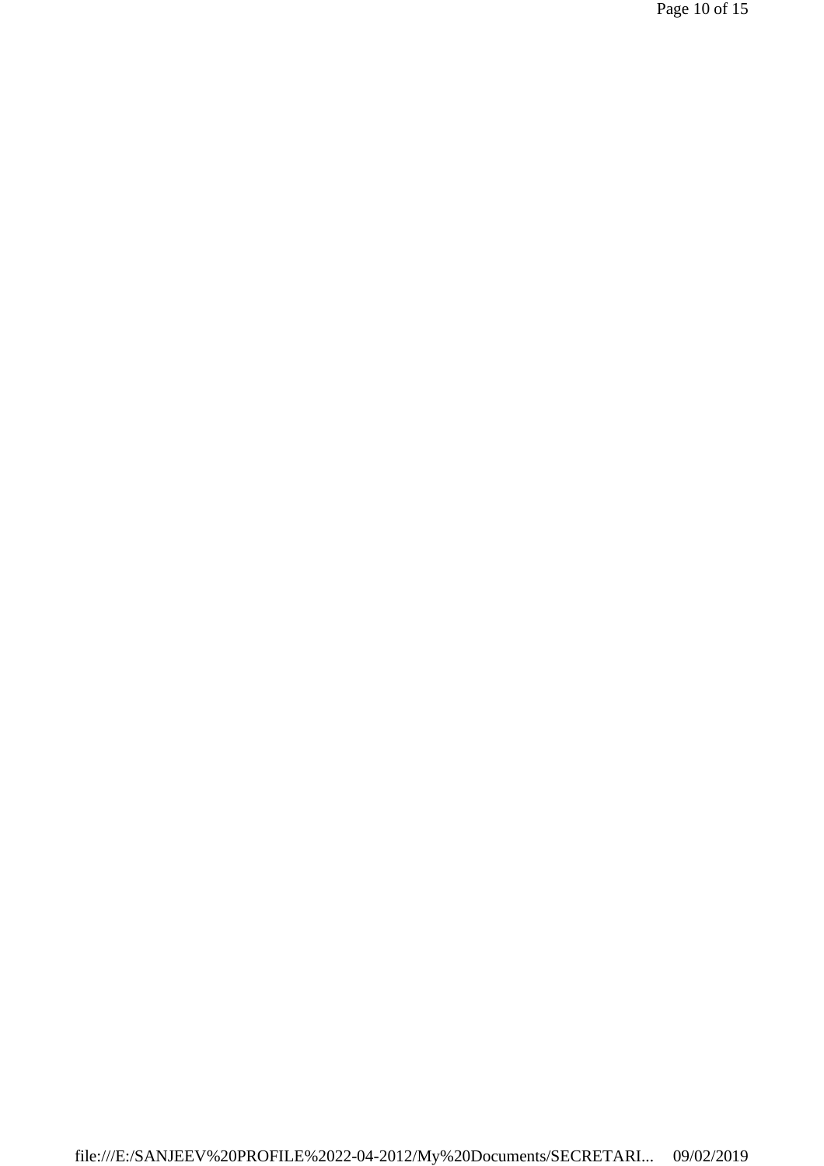Page 10 of 15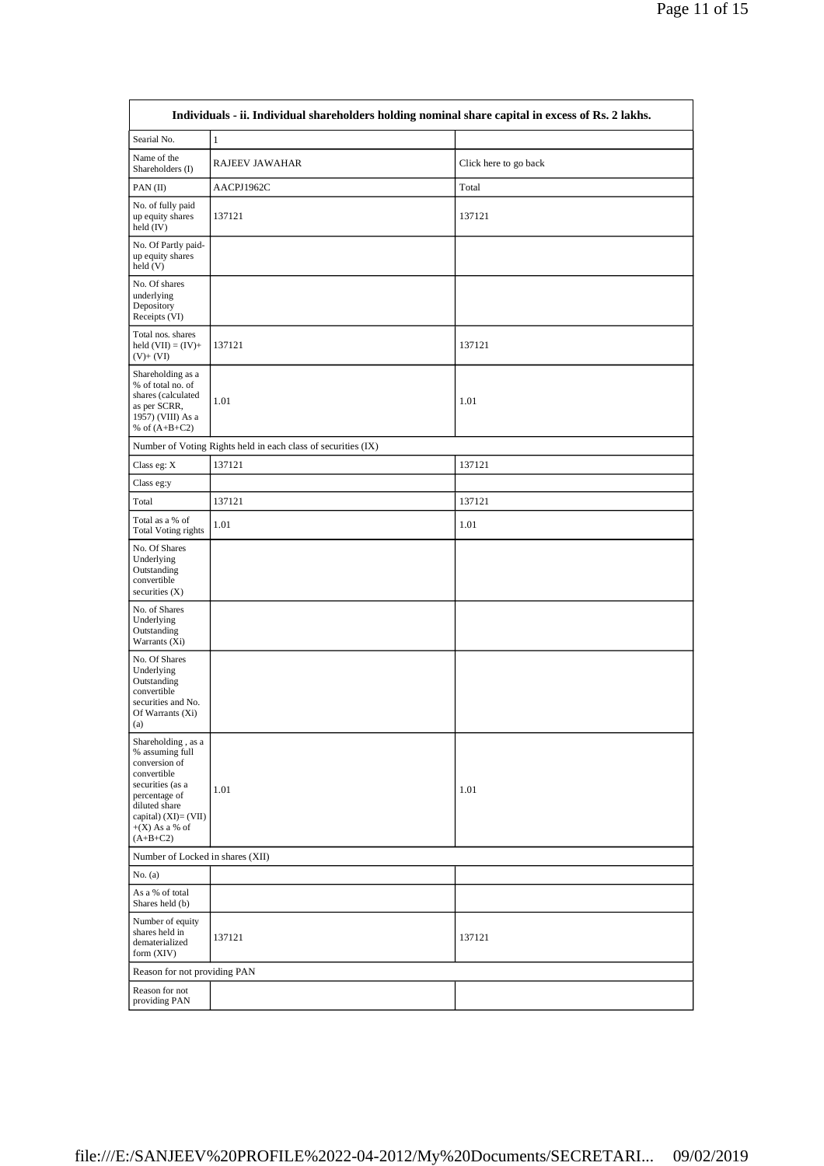|                                                                                                                                                                                          | Individuals - ii. Individual shareholders holding nominal share capital in excess of Rs. 2 lakhs. |                       |
|------------------------------------------------------------------------------------------------------------------------------------------------------------------------------------------|---------------------------------------------------------------------------------------------------|-----------------------|
| Searial No.                                                                                                                                                                              | $\mathbf{1}$                                                                                      |                       |
| Name of the<br>Shareholders (I)                                                                                                                                                          | <b>RAJEEV JAWAHAR</b>                                                                             | Click here to go back |
| $PAN$ (II)                                                                                                                                                                               | AACPJ1962C                                                                                        | Total                 |
| No. of fully paid<br>up equity shares<br>held (IV)                                                                                                                                       | 137121                                                                                            | 137121                |
| No. Of Partly paid-<br>up equity shares<br>held (V)                                                                                                                                      |                                                                                                   |                       |
| No. Of shares<br>underlying<br>Depository<br>Receipts (VI)                                                                                                                               |                                                                                                   |                       |
| Total nos. shares<br>held $(VII) = (IV) +$<br>$(V) + (VI)$                                                                                                                               | 137121                                                                                            | 137121                |
| Shareholding as a<br>% of total no. of<br>shares (calculated<br>as per SCRR,<br>1957) (VIII) As a<br>% of $(A+B+C2)$                                                                     | 1.01                                                                                              | 1.01                  |
|                                                                                                                                                                                          | Number of Voting Rights held in each class of securities (IX)                                     |                       |
| Class eg: X                                                                                                                                                                              | 137121                                                                                            | 137121                |
| Class eg:y                                                                                                                                                                               |                                                                                                   |                       |
| Total                                                                                                                                                                                    | 137121                                                                                            | 137121                |
| Total as a % of<br>Total Voting rights                                                                                                                                                   | 1.01                                                                                              | 1.01                  |
| No. Of Shares<br>Underlying<br>Outstanding<br>convertible<br>securities (X)                                                                                                              |                                                                                                   |                       |
| No. of Shares<br>Underlying<br>Outstanding<br>Warrants (Xi)                                                                                                                              |                                                                                                   |                       |
| No. Of Shares<br>Underlying<br>Outstanding<br>convertible<br>securities and No.<br>Of Warrants (Xi)<br>(a)                                                                               |                                                                                                   |                       |
| Shareholding, as a<br>% assuming full<br>conversion of<br>convertible<br>securities (as a<br>percentage of<br>diluted share<br>capital) $(XI) = (VII)$<br>$+(X)$ As a % of<br>$(A+B+C2)$ | 1.01                                                                                              | 1.01                  |
| Number of Locked in shares (XII)                                                                                                                                                         |                                                                                                   |                       |
| No. (a)                                                                                                                                                                                  |                                                                                                   |                       |
| As a % of total<br>Shares held (b)                                                                                                                                                       |                                                                                                   |                       |
| Number of equity<br>shares held in<br>dematerialized<br>form (XIV)                                                                                                                       | 137121                                                                                            | 137121                |
| Reason for not providing PAN                                                                                                                                                             |                                                                                                   |                       |
| Reason for not<br>providing PAN                                                                                                                                                          |                                                                                                   |                       |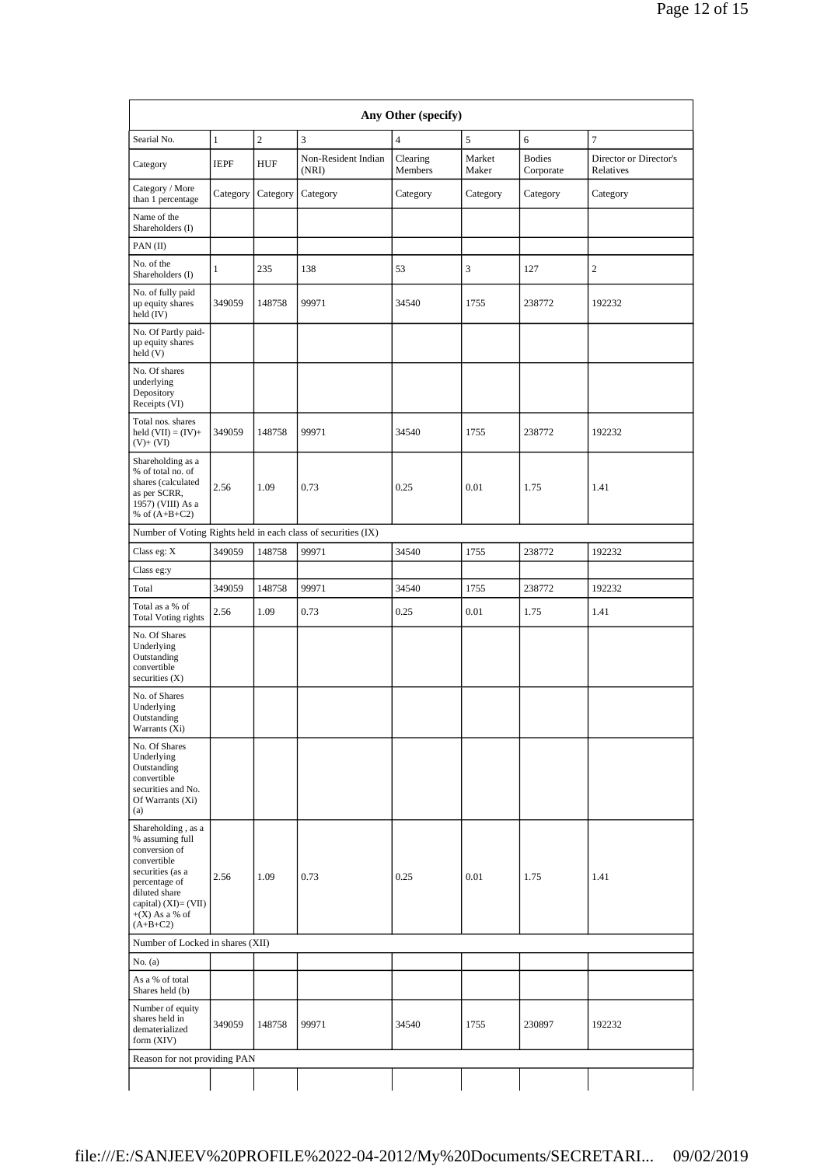| Any Other (specify)                                                                                                                                                                      |              |                |                                                               |                     |                 |                            |                                     |  |  |  |  |
|------------------------------------------------------------------------------------------------------------------------------------------------------------------------------------------|--------------|----------------|---------------------------------------------------------------|---------------------|-----------------|----------------------------|-------------------------------------|--|--|--|--|
| Searial No.                                                                                                                                                                              | $\mathbf{1}$ | $\overline{c}$ | $\overline{3}$                                                | $\overline{4}$      | 5               | 6                          | $\overline{7}$                      |  |  |  |  |
| Category                                                                                                                                                                                 | <b>IEPF</b>  | <b>HUF</b>     | Non-Resident Indian<br>(NRI)                                  | Clearing<br>Members | Market<br>Maker | <b>Bodies</b><br>Corporate | Director or Director's<br>Relatives |  |  |  |  |
| Category / More<br>than 1 percentage                                                                                                                                                     | Category     | Category       | Category                                                      | Category            | Category        | Category                   | Category                            |  |  |  |  |
| Name of the<br>Shareholders (I)                                                                                                                                                          |              |                |                                                               |                     |                 |                            |                                     |  |  |  |  |
| PAN(II)                                                                                                                                                                                  |              |                |                                                               |                     |                 |                            |                                     |  |  |  |  |
| No. of the<br>Shareholders (I)                                                                                                                                                           | 1            | 235            | 138                                                           | 53                  | 3               | 127                        | 2                                   |  |  |  |  |
| No. of fully paid<br>up equity shares<br>held (IV)                                                                                                                                       | 349059       | 148758         | 99971                                                         | 34540               | 1755            | 238772                     | 192232                              |  |  |  |  |
| No. Of Partly paid-<br>up equity shares<br>held (V)                                                                                                                                      |              |                |                                                               |                     |                 |                            |                                     |  |  |  |  |
| No. Of shares<br>underlying<br>Depository<br>Receipts (VI)                                                                                                                               |              |                |                                                               |                     |                 |                            |                                     |  |  |  |  |
| Total nos. shares<br>held $(VII) = (IV) +$<br>$(V) + (VI)$                                                                                                                               | 349059       | 148758         | 99971                                                         | 34540               | 1755            | 238772                     | 192232                              |  |  |  |  |
| Shareholding as a<br>% of total no. of<br>shares (calculated<br>as per SCRR,<br>1957) (VIII) As a<br>% of $(A+B+C2)$                                                                     | 2.56         | 1.09           | 0.73                                                          | 0.25                | 0.01            | 1.75                       | 1.41                                |  |  |  |  |
|                                                                                                                                                                                          |              |                | Number of Voting Rights held in each class of securities (IX) |                     |                 |                            |                                     |  |  |  |  |
| Class eg: X                                                                                                                                                                              | 349059       | 148758         | 99971                                                         | 34540               | 1755            | 238772                     | 192232                              |  |  |  |  |
| Class eg:y                                                                                                                                                                               |              |                |                                                               |                     |                 |                            |                                     |  |  |  |  |
| Total                                                                                                                                                                                    | 349059       | 148758         | 99971                                                         | 34540               | 1755            | 238772                     | 192232                              |  |  |  |  |
| Total as a % of<br><b>Total Voting rights</b>                                                                                                                                            | 2.56         | 1.09           | 0.73                                                          | 0.25                | 0.01            | 1.75                       | 1.41                                |  |  |  |  |
| No. Of Shares<br>Underlying<br>Outstanding<br>convertible<br>securities (X)                                                                                                              |              |                |                                                               |                     |                 |                            |                                     |  |  |  |  |
| No. of Shares<br>Underlying<br>Outstanding<br>Warrants (Xi)                                                                                                                              |              |                |                                                               |                     |                 |                            |                                     |  |  |  |  |
| No. Of Shares<br>Underlying<br>Outstanding<br>convertible<br>securities and No.<br>Of Warrants (Xi)<br>(a)                                                                               |              |                |                                                               |                     |                 |                            |                                     |  |  |  |  |
| Shareholding, as a<br>% assuming full<br>conversion of<br>convertible<br>securities (as a<br>percentage of<br>diluted share<br>capital) $(XI) = (VII)$<br>$+(X)$ As a % of<br>$(A+B+C2)$ | 2.56         | 1.09           | 0.73                                                          | 0.25                | 0.01            | 1.75                       | 1.41                                |  |  |  |  |
| Number of Locked in shares (XII)                                                                                                                                                         |              |                |                                                               |                     |                 |                            |                                     |  |  |  |  |
| No. (a)                                                                                                                                                                                  |              |                |                                                               |                     |                 |                            |                                     |  |  |  |  |
| As a % of total<br>Shares held (b)                                                                                                                                                       |              |                |                                                               |                     |                 |                            |                                     |  |  |  |  |
| Number of equity<br>shares held in<br>dematerialized<br>form (XIV)                                                                                                                       | 349059       | 148758         | 99971                                                         | 34540               | 1755            | 230897                     | 192232                              |  |  |  |  |
| Reason for not providing PAN                                                                                                                                                             |              |                |                                                               |                     |                 |                            |                                     |  |  |  |  |
|                                                                                                                                                                                          |              |                |                                                               |                     |                 |                            |                                     |  |  |  |  |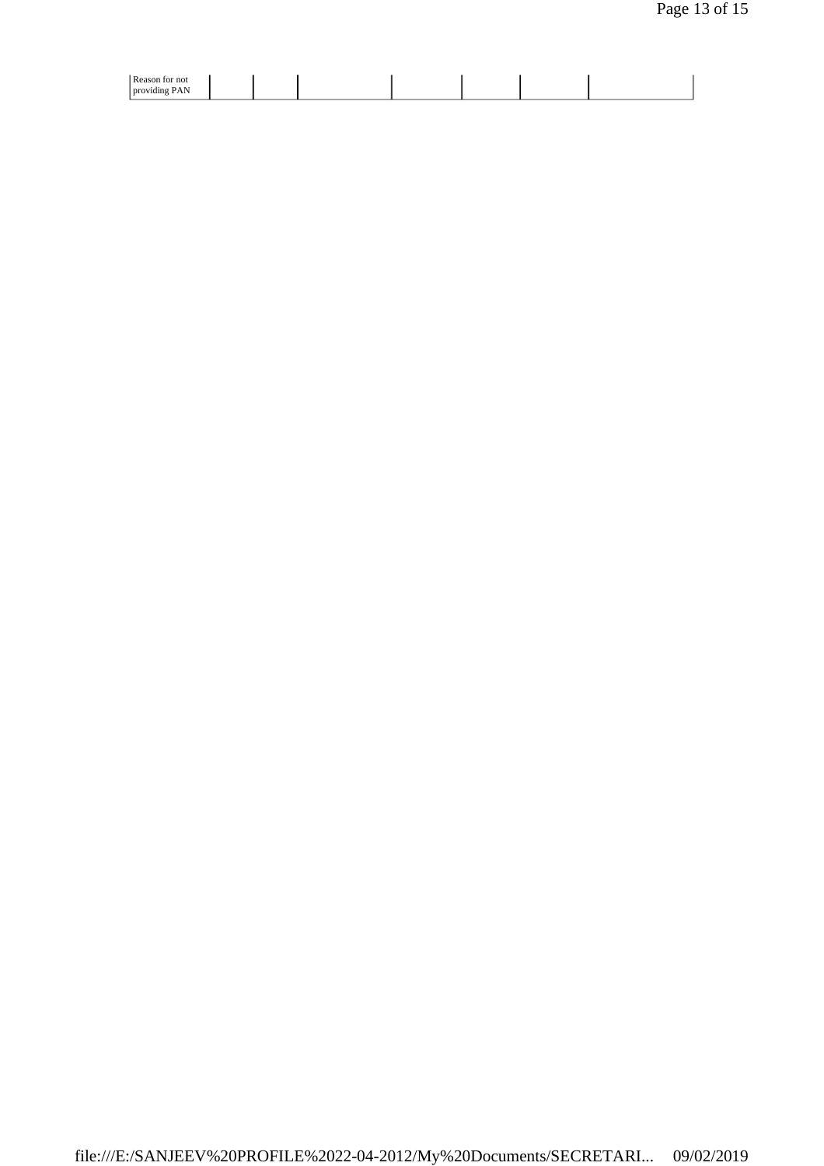| ' Rea<br>or not                                                |  |  |  |  |
|----------------------------------------------------------------|--|--|--|--|
| <b>DAN</b><br>$\cdot$<br>$n_{\rm FOM}$<br>dına<br>$\cdots$<br> |  |  |  |  |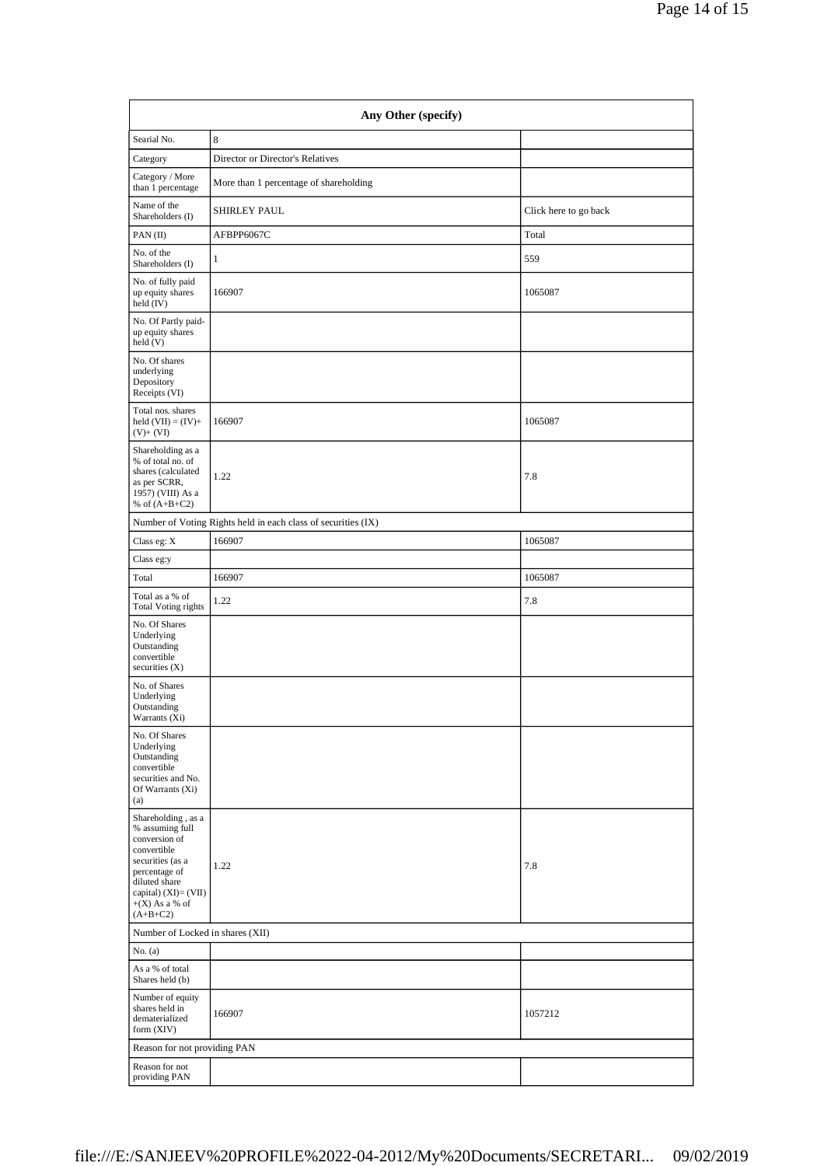| Any Other (specify)                                                                                                                                                                   |                                        |                       |
|---------------------------------------------------------------------------------------------------------------------------------------------------------------------------------------|----------------------------------------|-----------------------|
| Searial No.                                                                                                                                                                           | 8                                      |                       |
| Category                                                                                                                                                                              | Director or Director's Relatives       |                       |
| Category / More<br>than 1 percentage                                                                                                                                                  | More than 1 percentage of shareholding |                       |
| Name of the<br>Shareholders (I)                                                                                                                                                       | <b>SHIRLEY PAUL</b>                    | Click here to go back |
| PAN(II)                                                                                                                                                                               | AFBPP6067C                             | Total                 |
| No. of the<br>Shareholders (I)                                                                                                                                                        | 1                                      | 559                   |
| No. of fully paid<br>up equity shares<br>held (IV)                                                                                                                                    | 166907                                 | 1065087               |
| No. Of Partly paid-<br>up equity shares<br>held (V)                                                                                                                                   |                                        |                       |
| No. Of shares<br>underlying<br>Depository<br>Receipts (VI)                                                                                                                            |                                        |                       |
| Total nos. shares<br>held $(VII) = (IV) +$<br>$(V)+(VI)$                                                                                                                              | 166907                                 | 1065087               |
| Shareholding as a<br>% of total no. of<br>shares (calculated<br>as per SCRR,<br>1957) (VIII) As a<br>% of $(A+B+C2)$                                                                  | 1.22                                   | 7.8                   |
| Number of Voting Rights held in each class of securities (IX)                                                                                                                         |                                        |                       |
| Class eg: X                                                                                                                                                                           | 166907                                 | 1065087               |
| Class eg:y                                                                                                                                                                            |                                        |                       |
| Total                                                                                                                                                                                 | 166907                                 | 1065087               |
| Total as a % of<br><b>Total Voting rights</b>                                                                                                                                         | 1.22                                   | $7.8\,$               |
| No. Of Shares<br>Underlying<br>Outstanding<br>convertible<br>securities $(X)$                                                                                                         |                                        |                       |
| No. of Shares<br>Underlying<br>Outstanding<br>Warrants (Xi)                                                                                                                           |                                        |                       |
| No. Of Shares<br>Underlying<br>Outstanding<br>convertible<br>securities and No.<br>Of Warrants (Xi)<br>(a)                                                                            |                                        |                       |
| Shareholding, as a<br>% assuming full<br>conversion of<br>convertible<br>securities (as a<br>percentage of<br>diluted share<br>capital) (XI)= (VII)<br>$+(X)$ As a % of<br>$(A+B+C2)$ | 1.22                                   | 7.8                   |
| Number of Locked in shares (XII)                                                                                                                                                      |                                        |                       |
| No. (a)                                                                                                                                                                               |                                        |                       |
| As a % of total<br>Shares held (b)                                                                                                                                                    |                                        |                       |
| Number of equity<br>shares held in<br>dematerialized<br>form (XIV)                                                                                                                    | 166907                                 | 1057212               |
| Reason for not providing PAN                                                                                                                                                          |                                        |                       |
| Reason for not<br>providing PAN                                                                                                                                                       |                                        |                       |